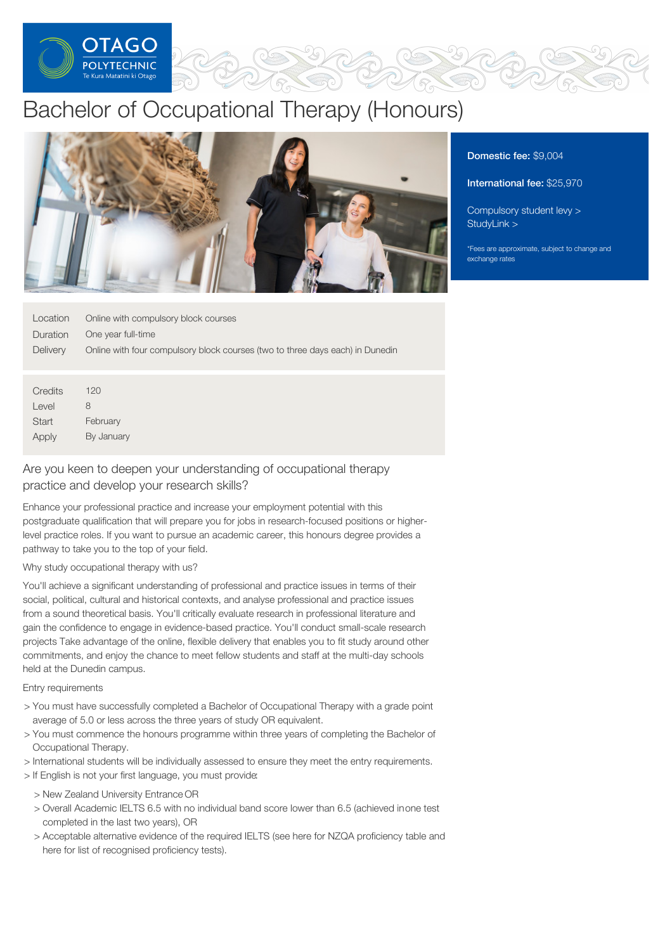

# Bachelor of Occupational Therapy (Honours)



### Domestic fee: \$9,004

#### International fee: \$25,970

[Compulsory](https://online.op.ac.nz/students/important-information/student-services-levy/) student levy > [StudyLink](https://www.studylink.govt.nz/) >

\*Fees are approximate, subject to change and exchange rates

| Location        | Online with compulsory block courses                                          |
|-----------------|-------------------------------------------------------------------------------|
| Duration        | One year full-time                                                            |
| <b>Delivery</b> | Online with four compulsory block courses (two to three days each) in Dunedin |
|                 |                                                                               |
|                 |                                                                               |
| Credits         | 120                                                                           |
| Level           | 8                                                                             |
| <b>Start</b>    | February                                                                      |
| Apply           | By January                                                                    |
|                 |                                                                               |

# Are you keen to deepen your understanding of occupational therapy practice and develop your research skills?

Enhance your professional practice and increase your employment potential with this postgraduate qualification that will prepare you for jobs in research-focused positions or higherlevel practice roles. If you want to pursue an academic career, this honours degree provides a pathway to take you to the top of your field.

# Why study occupational therapy with us?

You'll achieve a significant understanding of professional and practice issues in terms of their social, political, cultural and historical contexts, and analyse professional and practice issues from a sound theoretical basis. You'll critically evaluate research in professional literature and gain the confidence to engage in evidence-based practice. You'll conduct small-scale research projects Take advantage of the online, flexible delivery that enables you to fit study around other commitments, and enjoy the chance to meet fellow students and staff at the multi-day schools held at the Dunedin campus.

#### Entry requirements

- > You must have successfully completed a Bachelor of Occupational Therapy with a grade point average of 5.0 or less across the three years of study OR equivalent.
- > You must commence the honours programme within three years of completing the Bachelor of Occupational Therapy.
- > International students will be individually assessed to ensure they meet the entry requirements.
- > If English is not your first language, you must provide:
	- > New Zealand University Entrance OR
	- > Overall Academic IELTS 6.5 with no individual band score lower than 6.5 (achieved inone test completed in the last two years), OR
	- > Acceptable alternative evidence of the required IELTS (see here for NZQA proficiency table and here for list of recognised proficiency tests).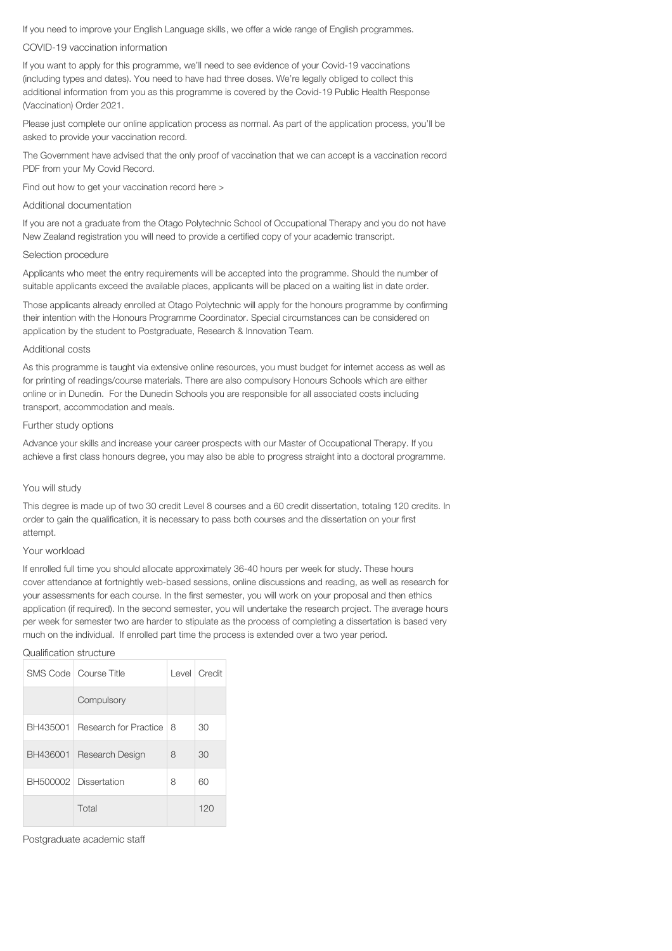If you need to improve your English Language skills, we offer a wide range of English programmes.

#### COVID-19 vaccination information

If you want to apply for this programme, we'll need to see evidence of your Covid-19 vaccinations (including types and dates). You need to have had three doses. We're legally obliged to collect this additional information from you as this programme is covered by the Covid-19 Public Health Response (Vaccination) Order 2021.

Please just complete our online application process as normal. As part of the application process, you'll be asked to provide your vaccination record.

The Government have advised that the only proof of vaccination that we can accept is a vaccination record PDF from your My Covid Record.

Find out how to get your vaccination record here >

#### Additional documentation

If you are not a graduate from the Otago Polytechnic School of Occupational Therapy and you do not have New Zealand registration you will need to provide a certified copy of your academic transcript.

#### Selection procedure

Applicants who meet the entry requirements will be accepted into the programme. Should the number of suitable applicants exceed the available places, applicants will be placed on a waiting list in date order.

Those applicants already enrolled at Otago Polytechnic will apply for the honours programme by confirming their intention with the Honours Programme Coordinator. Special circumstances can be considered on application by the student to Postgraduate, Research & Innovation Team.

#### Additional costs

As this programme is taught via extensive online resources, you must budget for internet access as well as for printing of readings/course materials. There are also compulsory Honours Schools which are either online or in Dunedin. For the Dunedin Schools you are responsible for all associated costs including transport, accommodation and meals.

#### Further study options

Advance your skills and increase your career prospects with our Master of Occupational Therapy. If you achieve a first class honours degree, you may also be able to progress straight into a doctoral programme.

#### You will study

This degree is made up of two 30 credit Level 8 courses and a 60 credit dissertation, totaling 120 credits. In order to gain the qualification, it is necessary to pass both courses and the dissertation on your first attempt.

#### Your workload

If enrolled full time you should allocate approximately 36-40 hours per week for study. These hours cover attendance at fortnightly web-based sessions, online discussions and reading, as well as research for your assessments for each course. In the first semester, you will work on your proposal and then ethics application (if required). In the second semester, you will undertake the research project. The average hours per week for semester two are harder to stipulate as the process of completing a dissertation is based very much on the individual. If enrolled part time the process is extended over a two year period.

#### Qualification structure

|          | SMS Code   Course Title  |   | Level Credit |
|----------|--------------------------|---|--------------|
|          | Compulsory               |   |              |
| BH435001 | Research for Practice    | 8 | 30           |
|          | BH436001 Research Design | 8 | 30           |
|          | BH500002 Dissertation    | 8 | 60           |
|          | Total                    |   | 120          |

Postgraduate academic staff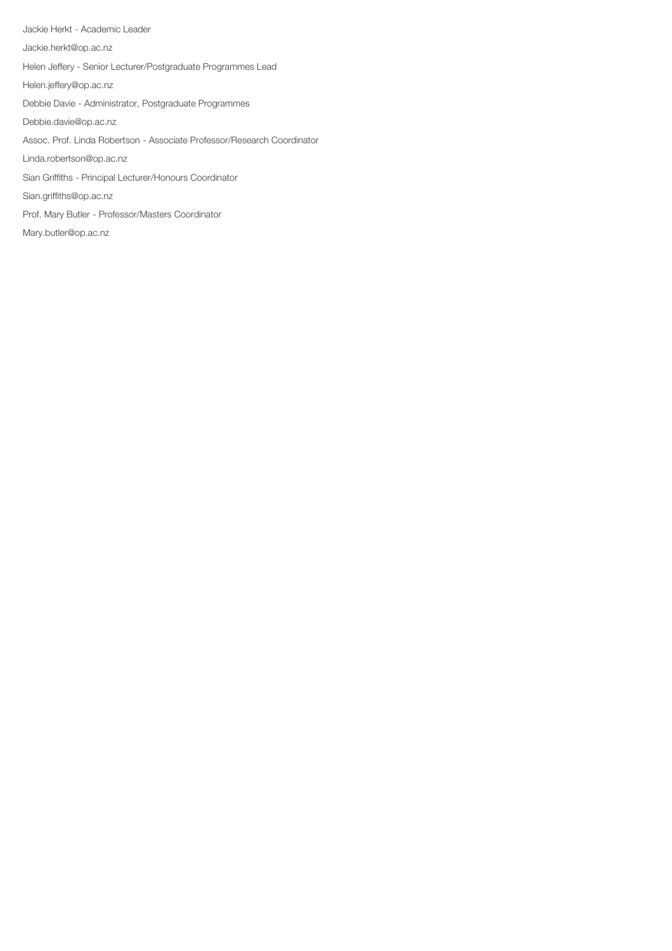Jackie Herkt - Academic Leader Jackie.herkt@op.ac.nz Helen Jeffery - Senior Lecturer/Postgraduate Programmes Lead Helen.jeffery@op.ac.nz Debbie Davie - Administrator, Postgraduate Programmes Debbie.davie@op.ac.nz Assoc. Prof. Linda Robertson - Associate Professor/Research Coordinator Linda.robertson@op.ac.nz Sian Griffiths - Principal Lecturer/Honours Coordinator Sian.griffiths@op.ac.nz Prof. Mary Butler - Professor/Masters Coordinator Mary.butler@op.ac.nz